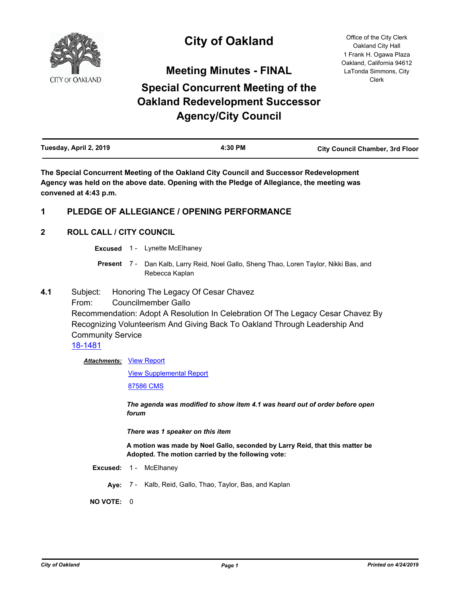

# **City of Oakland**

**Meeting Minutes - FINAL**

# **Special Concurrent Meeting of the Oakland Redevelopment Successor Agency/City Council**

Office of the City Clerk Oakland City Hall 1 Frank H. Ogawa Plaza Oakland, California 94612 LaTonda Simmons, City Clerk

| Tuesday, April 2, 2019 | 4:30 PM | <b>City Council Chamber, 3rd Floor</b> |
|------------------------|---------|----------------------------------------|
|                        |         |                                        |

**The Special Concurrent Meeting of the Oakland City Council and Successor Redevelopment Agency was held on the above date. Opening with the Pledge of Allegiance, the meeting was convened at 4:43 p.m.**

# **1 PLEDGE OF ALLEGIANCE / OPENING PERFORMANCE**

# **2 ROLL CALL / CITY COUNCIL**

**Excused** 1 - Lynette McElhaney

- Present 7 Dan Kalb, Larry Reid, Noel Gallo, Sheng Thao, Loren Taylor, Nikki Bas, and Rebecca Kaplan
- **4.1** Subject: Honoring The Legacy Of Cesar Chavez

From: Councilmember Gallo Recommendation: Adopt A Resolution In Celebration Of The Legacy Cesar Chavez By Recognizing Volunteerism And Giving Back To Oakland Through Leadership And Community Service

[18-1481](http://oakland.legistar.com/gateway.aspx?m=l&id=/matter.aspx?key=29905)

**Attachments: [View Report](http://oakland.legistar.com/gateway.aspx?M=F&ID=92b1bfb1-fdf5-414a-bff2-ca0b33e2b8ec.pdf)** 

[View Supplemental Report](http://oakland.legistar.com/gateway.aspx?M=F&ID=0247d20a-c989-4120-8820-58b988a47806.pdf)

[87586 CMS](http://oakland.legistar.com/gateway.aspx?M=F&ID=787ac6ce-38a5-4c1a-afb1-86f07f881b48.pdf)

*The agenda was modified to show item 4.1 was heard out of order before open forum*

*There was 1 speaker on this item*

**A motion was made by Noel Gallo, seconded by Larry Reid, that this matter be Adopted. The motion carried by the following vote:**

**Excused:** 1 - McElhaney

**Aye:** 7 - Kalb, Reid, Gallo, Thao, Taylor, Bas, and Kaplan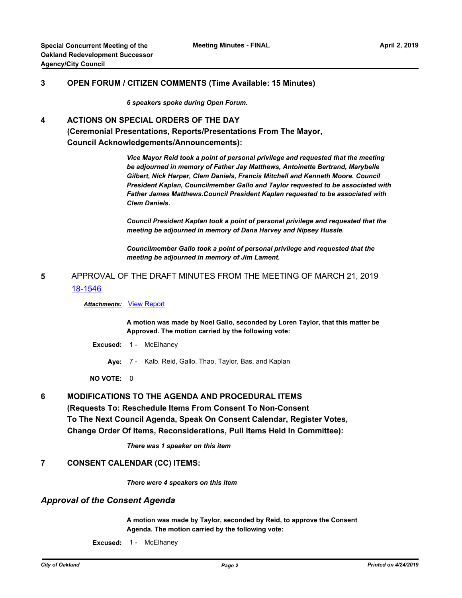### **3 OPEN FORUM / CITIZEN COMMENTS (Time Available: 15 Minutes)**

*6 speakers spoke during Open Forum.*

# **4 ACTIONS ON SPECIAL ORDERS OF THE DAY (Ceremonial Presentations, Reports/Presentations From The Mayor, Council Acknowledgements/Announcements):**

*Vice Mayor Reid took a point of personal privilege and requested that the meeting be adjourned in memory of Father Jay Matthews, Antoinette Bertrand, Marybelle Gilbert, Nick Harper, Clem Daniels, Francis Mitchell and Kenneth Moore. Council President Kaplan, Councilmember Gallo and Taylor requested to be associated with Father James Matthews.Council President Kaplan requested to be associated with Clem Daniels.* 

*Council President Kaplan took a point of personal privilege and requested that the meeting be adjourned in memory of Dana Harvey and Nipsey Hussle.*

*Councilmember Gallo took a point of personal privilege and requested that the meeting be adjourned in memory of Jim Lament.*

**5** APPROVAL OF THE DRAFT MINUTES FROM THE MEETING OF MARCH 21, 2019 [18-1546](http://oakland.legistar.com/gateway.aspx?m=l&id=/matter.aspx?key=29970)

*Attachments:* [View Report](http://oakland.legistar.com/gateway.aspx?M=F&ID=8e62a033-ce79-40a9-8f9f-c30f4e1fcf9f.pdf)

**A motion was made by Noel Gallo, seconded by Loren Taylor, that this matter be Approved. The motion carried by the following vote:**

**Excused:** 1 - McElhaney

**Aye:** 7 - Kalb, Reid, Gallo, Thao, Taylor, Bas, and Kaplan

**NO VOTE:** 0

**6 MODIFICATIONS TO THE AGENDA AND PROCEDURAL ITEMS (Requests To: Reschedule Items From Consent To Non-Consent To The Next Council Agenda, Speak On Consent Calendar, Register Votes, Change Order Of Items, Reconsiderations, Pull Items Held In Committee):**

*There was 1 speaker on this item*

#### **7 CONSENT CALENDAR (CC) ITEMS:**

*There were 4 speakers on this item*

#### *Approval of the Consent Agenda*

**A motion was made by Taylor, seconded by Reid, to approve the Consent Agenda. The motion carried by the following vote:**

**Excused:** 1 - McElhaney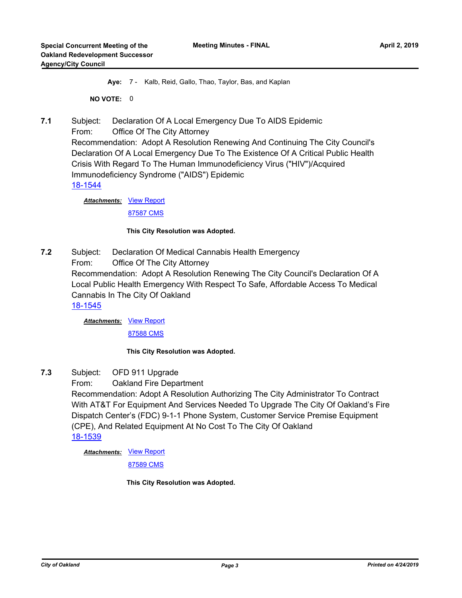**Aye:** 7 - Kalb, Reid, Gallo, Thao, Taylor, Bas, and Kaplan

**NO VOTE:** 0

**7.1** Subject: Declaration Of A Local Emergency Due To AIDS Epidemic From: Office Of The City Attorney Recommendation: Adopt A Resolution Renewing And Continuing The City Council's Declaration Of A Local Emergency Due To The Existence Of A Critical Public Health Crisis With Regard To The Human Immunodeficiency Virus ("HIV")/Acquired Immunodeficiency Syndrome ("AIDS") Epidemic [18-1544](http://oakland.legistar.com/gateway.aspx?m=l&id=/matter.aspx?key=29968)

**Attachments: [View Report](http://oakland.legistar.com/gateway.aspx?M=F&ID=34b199e7-61df-428c-9c2d-0a1e24b6977a.pdf)** 

[87587 CMS](http://oakland.legistar.com/gateway.aspx?M=F&ID=31014228-f380-4bfb-b785-0d4fe41ff9d2.pdf)

#### **This City Resolution was Adopted.**

**7.2** Subject: Declaration Of Medical Cannabis Health Emergency From: Office Of The City Attorney Recommendation: Adopt A Resolution Renewing The City Council's Declaration Of A Local Public Health Emergency With Respect To Safe, Affordable Access To Medical Cannabis In The City Of Oakland [18-1545](http://oakland.legistar.com/gateway.aspx?m=l&id=/matter.aspx?key=29969)

> **Attachments: [View Report](http://oakland.legistar.com/gateway.aspx?M=F&ID=fbf9fe5e-01d5-4c0f-9d33-2fc2fe35d96a.pdf)** [87588 CMS](http://oakland.legistar.com/gateway.aspx?M=F&ID=8bed13ab-3497-4220-947d-2b513b40200d.pdf)

## **This City Resolution was Adopted.**

**7.3** Subject: OFD 911 Upgrade

From: Oakland Fire Department

Recommendation: Adopt A Resolution Authorizing The City Administrator To Contract With AT&T For Equipment And Services Needed To Upgrade The City Of Oakland's Fire Dispatch Center's (FDC) 9-1-1 Phone System, Customer Service Premise Equipment (CPE), And Related Equipment At No Cost To The City Of Oakland [18-1539](http://oakland.legistar.com/gateway.aspx?m=l&id=/matter.aspx?key=29963)

**Attachments: [View Report](http://oakland.legistar.com/gateway.aspx?M=F&ID=28a89ba8-53fe-4a11-8d61-a6e1ad9bf32d.pdf)** 

[87589 CMS](http://oakland.legistar.com/gateway.aspx?M=F&ID=8402c50c-91c0-4530-9a48-824434de096c.pdf)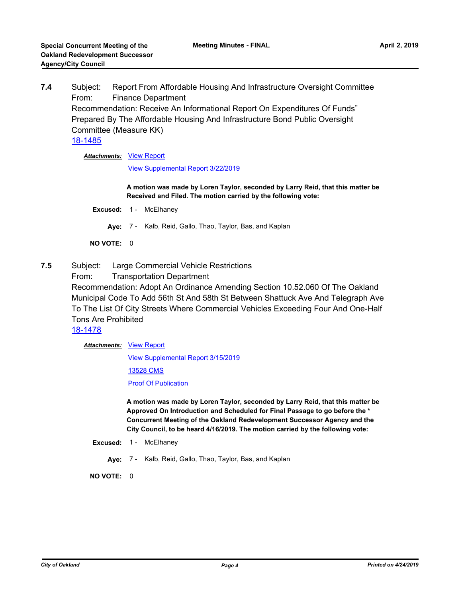**7.4** Subject: Report From Affordable Housing And Infrastructure Oversight Committee From: Finance Department Recommendation: Receive An Informational Report On Expenditures Of Funds" Prepared By The Affordable Housing And Infrastructure Bond Public Oversight Committee (Measure KK) [18-1485](http://oakland.legistar.com/gateway.aspx?m=l&id=/matter.aspx?key=29909)

**Attachments: [View Report](http://oakland.legistar.com/gateway.aspx?M=F&ID=ee875c4f-0680-40d2-a1e0-45ca4fe2df46.pdf)** 

#### [View Supplemental Report 3/22/2019](http://oakland.legistar.com/gateway.aspx?M=F&ID=3f1482c9-8e54-451d-a273-abfaf6f2b106.pdf)

**A motion was made by Loren Taylor, seconded by Larry Reid, that this matter be Received and Filed. The motion carried by the following vote:**

**Excused:** 1 - McElhaney

**Aye:** 7 - Kalb, Reid, Gallo, Thao, Taylor, Bas, and Kaplan

**NO VOTE:** 0

- **7.5** Subject: Large Commercial Vehicle Restrictions
	- From: Transportation Department

Recommendation: Adopt An Ordinance Amending Section 10.52.060 Of The Oakland Municipal Code To Add 56th St And 58th St Between Shattuck Ave And Telegraph Ave To The List Of City Streets Where Commercial Vehicles Exceeding Four And One-Half Tons Are Prohibited

[18-1478](http://oakland.legistar.com/gateway.aspx?m=l&id=/matter.aspx?key=29902)

**Attachments: [View Report](http://oakland.legistar.com/gateway.aspx?M=F&ID=30764b90-9117-47a3-9f32-75678db15a7a.pdf)** 

[View Supplemental Report 3/15/2019](http://oakland.legistar.com/gateway.aspx?M=F&ID=a40e3a55-6000-4334-9be0-0d44ddb04110.pdf)

[13528 CMS](http://oakland.legistar.com/gateway.aspx?M=F&ID=7bb3f0c1-c193-405b-a4c8-4c4d839025d4.pdf)

**[Proof Of Publication](http://oakland.legistar.com/gateway.aspx?M=F&ID=a139920b-d3e7-48d2-9099-b3bd5ff3749b.pdf)** 

**A motion was made by Loren Taylor, seconded by Larry Reid, that this matter be Approved On Introduction and Scheduled for Final Passage to go before the \* Concurrent Meeting of the Oakland Redevelopment Successor Agency and the City Council, to be heard 4/16/2019. The motion carried by the following vote:**

**Excused:** 1 - McElhaney

**Aye:** 7 - Kalb, Reid, Gallo, Thao, Taylor, Bas, and Kaplan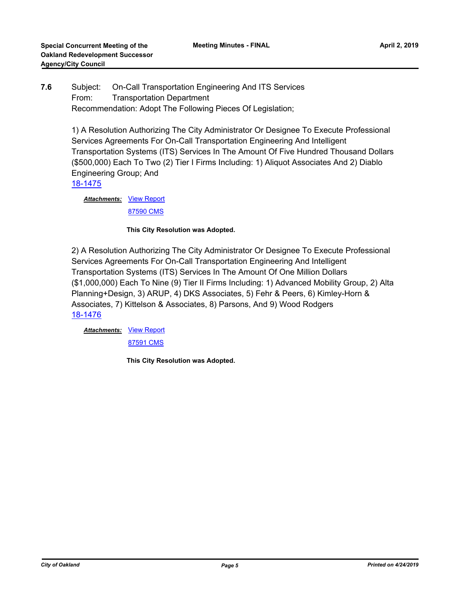# **7.6** Subject: On-Call Transportation Engineering And ITS Services From: Transportation Department Recommendation: Adopt The Following Pieces Of Legislation;

1) A Resolution Authorizing The City Administrator Or Designee To Execute Professional Services Agreements For On-Call Transportation Engineering And Intelligent Transportation Systems (ITS) Services In The Amount Of Five Hundred Thousand Dollars (\$500,000) Each To Two (2) Tier I Firms Including: 1) Aliquot Associates And 2) Diablo Engineering Group; And [18-1475](http://oakland.legistar.com/gateway.aspx?m=l&id=/matter.aspx?key=29899)

**Attachments: [View Report](http://oakland.legistar.com/gateway.aspx?M=F&ID=e2454d89-b7e2-4972-8b95-edaf4568caf9.pdf)** 

[87590 CMS](http://oakland.legistar.com/gateway.aspx?M=F&ID=8c3305d4-a806-4b03-ae0d-e909fa28f92b.pdf)

## **This City Resolution was Adopted.**

2) A Resolution Authorizing The City Administrator Or Designee To Execute Professional Services Agreements For On-Call Transportation Engineering And Intelligent Transportation Systems (ITS) Services In The Amount Of One Million Dollars (\$1,000,000) Each To Nine (9) Tier II Firms Including: 1) Advanced Mobility Group, 2) Alta Planning+Design, 3) ARUP, 4) DKS Associates, 5) Fehr & Peers, 6) Kimley-Horn & Associates, 7) Kittelson & Associates, 8) Parsons, And 9) Wood Rodgers [18-1476](http://oakland.legistar.com/gateway.aspx?m=l&id=/matter.aspx?key=29900)

**Attachments: [View Report](http://oakland.legistar.com/gateway.aspx?M=F&ID=efbf5ace-0e41-425c-b7f2-2cf7886f52e3.pdf)** [87591 CMS](http://oakland.legistar.com/gateway.aspx?M=F&ID=955dea39-0ed4-4063-89a3-326cf125679c.pdf)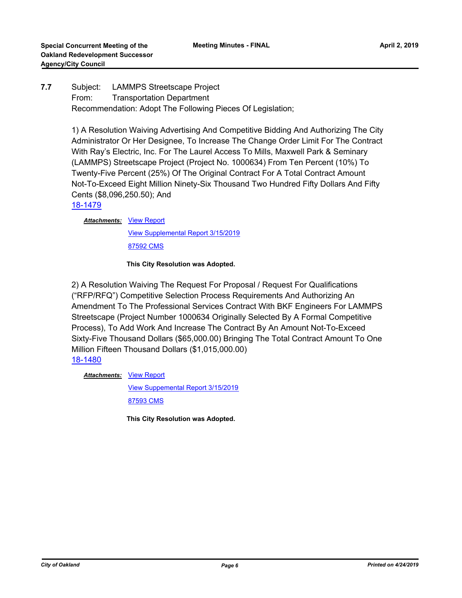# **7.7** Subject: LAMMPS Streetscape Project From: Transportation Department Recommendation: Adopt The Following Pieces Of Legislation;

1) A Resolution Waiving Advertising And Competitive Bidding And Authorizing The City Administrator Or Her Designee, To Increase The Change Order Limit For The Contract With Ray's Electric, Inc. For The Laurel Access To Mills, Maxwell Park & Seminary (LAMMPS) Streetscape Project (Project No. 1000634) From Ten Percent (10%) To Twenty-Five Percent (25%) Of The Original Contract For A Total Contract Amount Not-To-Exceed Eight Million Ninety-Six Thousand Two Hundred Fifty Dollars And Fifty Cents (\$8,096,250.50); And

[18-1479](http://oakland.legistar.com/gateway.aspx?m=l&id=/matter.aspx?key=29903)

**Attachments: [View Report](http://oakland.legistar.com/gateway.aspx?M=F&ID=06557e06-5531-49b0-a965-8b72e99a05a5.pdf)** 

[View Supplemental Report 3/15/2019](http://oakland.legistar.com/gateway.aspx?M=F&ID=759846d3-65c3-452f-8016-b4158147bbe5.pdf) [87592 CMS](http://oakland.legistar.com/gateway.aspx?M=F&ID=e8fc1a10-29b6-4ffa-8bfd-30e890341db1.pdf)

## **This City Resolution was Adopted.**

2) A Resolution Waiving The Request For Proposal / Request For Qualifications ("RFP/RFQ") Competitive Selection Process Requirements And Authorizing An Amendment To The Professional Services Contract With BKF Engineers For LAMMPS Streetscape (Project Number 1000634 Originally Selected By A Formal Competitive Process), To Add Work And Increase The Contract By An Amount Not-To-Exceed Sixty-Five Thousand Dollars (\$65,000.00) Bringing The Total Contract Amount To One Million Fifteen Thousand Dollars (\$1,015,000.00) [18-1480](http://oakland.legistar.com/gateway.aspx?m=l&id=/matter.aspx?key=29904)

**Attachments: [View Report](http://oakland.legistar.com/gateway.aspx?M=F&ID=0bf9e85e-95e2-4fbd-b089-923ca085cc34.pdf)** 

[View Suppemental Report 3/15/2019](http://oakland.legistar.com/gateway.aspx?M=F&ID=e5a4747a-10ef-46a0-817f-20f7a44adaef.pdf) [87593 CMS](http://oakland.legistar.com/gateway.aspx?M=F&ID=302c2768-75b8-4e91-bae6-194e8b0520c1.pdf)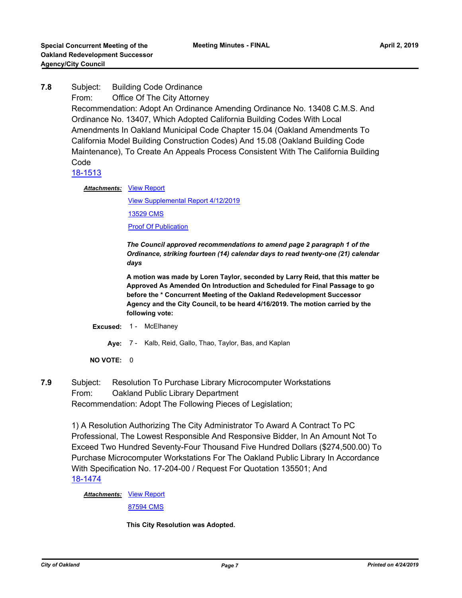- **7.8** Subject: Building Code Ordinance
	- From: Office Of The City Attorney

Recommendation: Adopt An Ordinance Amending Ordinance No. 13408 C.M.S. And Ordinance No. 13407, Which Adopted California Building Codes With Local Amendments In Oakland Municipal Code Chapter 15.04 (Oakland Amendments To California Model Building Construction Codes) And 15.08 (Oakland Building Code Maintenance), To Create An Appeals Process Consistent With The California Building Code

# [18-1513](http://oakland.legistar.com/gateway.aspx?m=l&id=/matter.aspx?key=29937)

**Attachments: [View Report](http://oakland.legistar.com/gateway.aspx?M=F&ID=bca7710e-407f-48e3-af6d-4b148eec73d6.pdf)** 

[View Supplemental Report 4/12/2019](http://oakland.legistar.com/gateway.aspx?M=F&ID=646b7c11-c8dc-4f78-bcb2-fff158637aab.pdf) [13529 CMS](http://oakland.legistar.com/gateway.aspx?M=F&ID=fb8314a0-d208-4910-9dba-a70f3ec36c56.pdf) [Proof Of Publication](http://oakland.legistar.com/gateway.aspx?M=F&ID=0ff9c6e0-9d0a-4105-a7bc-942c6cffc998.pdf)

*The Council approved recommendations to amend page 2 paragraph 1 of the Ordinance, striking fourteen (14) calendar days to read twenty-one (21) calendar days*

**A motion was made by Loren Taylor, seconded by Larry Reid, that this matter be Approved As Amended On Introduction and Scheduled for Final Passage to go before the \* Concurrent Meeting of the Oakland Redevelopment Successor Agency and the City Council, to be heard 4/16/2019. The motion carried by the following vote:**

- **Excused:** 1 McElhaney
	- **Aye:** 7 Kalb, Reid, Gallo, Thao, Taylor, Bas, and Kaplan

**NO VOTE:** 0

**7.9** Subject: Resolution To Purchase Library Microcomputer Workstations From: Oakland Public Library Department Recommendation: Adopt The Following Pieces of Legislation;

> 1) A Resolution Authorizing The City Administrator To Award A Contract To PC Professional, The Lowest Responsible And Responsive Bidder, In An Amount Not To Exceed Two Hundred Seventy-Four Thousand Five Hundred Dollars (\$274,500.00) To Purchase Microcomputer Workstations For The Oakland Public Library In Accordance With Specification No. 17-204-00 / Request For Quotation 135501; And [18-1474](http://oakland.legistar.com/gateway.aspx?m=l&id=/matter.aspx?key=29898)

**Attachments: [View Report](http://oakland.legistar.com/gateway.aspx?M=F&ID=48b5af04-5a37-4b41-ad74-b38db20feef7.pdf)** [87594 CMS](http://oakland.legistar.com/gateway.aspx?M=F&ID=fd348aab-a8b5-40f8-a7a6-2886af63e101.pdf)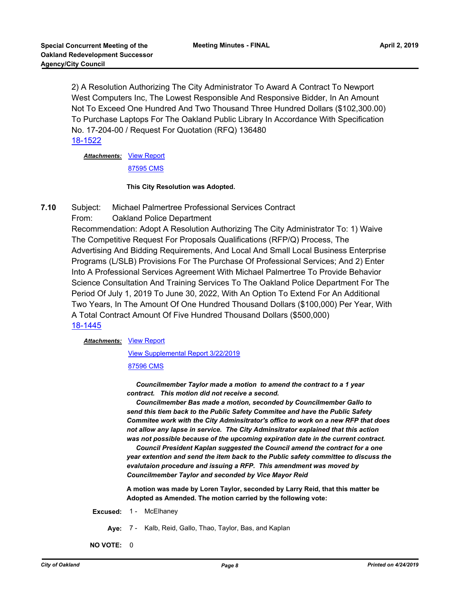2) A Resolution Authorizing The City Administrator To Award A Contract To Newport West Computers Inc, The Lowest Responsible And Responsive Bidder, In An Amount Not To Exceed One Hundred And Two Thousand Three Hundred Dollars (\$102,300.00) To Purchase Laptops For The Oakland Public Library In Accordance With Specification No. 17-204-00 / Request For Quotation (RFQ) 136480 [18-1522](http://oakland.legistar.com/gateway.aspx?m=l&id=/matter.aspx?key=29946)

**Attachments: [View Report](http://oakland.legistar.com/gateway.aspx?M=F&ID=62efc117-9401-43b6-bc56-04124151c7bd.pdf)** 

[87595 CMS](http://oakland.legistar.com/gateway.aspx?M=F&ID=a2790500-06e7-4c94-be46-73e8b53dd9a7.pdf)

**This City Resolution was Adopted.**

**7.10** Subject: Michael Palmertree Professional Services Contract

From: Oakland Police Department

Recommendation: Adopt A Resolution Authorizing The City Administrator To: 1) Waive The Competitive Request For Proposals Qualifications (RFP/Q) Process, The Advertising And Bidding Requirements, And Local And Small Local Business Enterprise Programs (L/SLB) Provisions For The Purchase Of Professional Services; And 2) Enter Into A Professional Services Agreement With Michael Palmertree To Provide Behavior Science Consultation And Training Services To The Oakland Police Department For The Period Of July 1, 2019 To June 30, 2022, With An Option To Extend For An Additional Two Years, In The Amount Of One Hundred Thousand Dollars (\$100,000) Per Year, With A Total Contract Amount Of Five Hundred Thousand Dollars (\$500,000) [18-1445](http://oakland.legistar.com/gateway.aspx?m=l&id=/matter.aspx?key=29869)

**Attachments: [View Report](http://oakland.legistar.com/gateway.aspx?M=F&ID=6288facf-8969-49ec-9651-fbd06eac90f1.pdf)** 

[View Supplemental Report 3/22/2019](http://oakland.legistar.com/gateway.aspx?M=F&ID=9d1f8fa5-098a-482a-9429-5766f241299c.pdf)

[87596 CMS](http://oakland.legistar.com/gateway.aspx?M=F&ID=368c0c58-c53a-487d-a06f-49137c49518b.pdf)

 *Councilmember Taylor made a motion to amend the contract to a 1 year contract. This motion did not receive a second.* 

 *Councilmember Bas made a motion, seconded by Councilmember Gallo to send this tiem back to the Public Safety Commitee and have the Public Safety Commitee work with the City Adminsitrator's office to work on a new RFP that does not allow any lapse in service. The City Adminsitrator explained that this action was not possible because of the upcoming expiration date in the current contract.*

 *Council President Kaplan suggested the Council amend the contract for a one year extention and send the item back to the Public safety committee to discuss the evalutaion procedure and issuing a RFP. This amendment was moved by Councilmember Taylor and seconded by Vice Mayor Reid*

**A motion was made by Loren Taylor, seconded by Larry Reid, that this matter be Adopted as Amended. The motion carried by the following vote:**

- Excused: 1 McElhaney
	- **Aye:** 7 Kalb, Reid, Gallo, Thao, Taylor, Bas, and Kaplan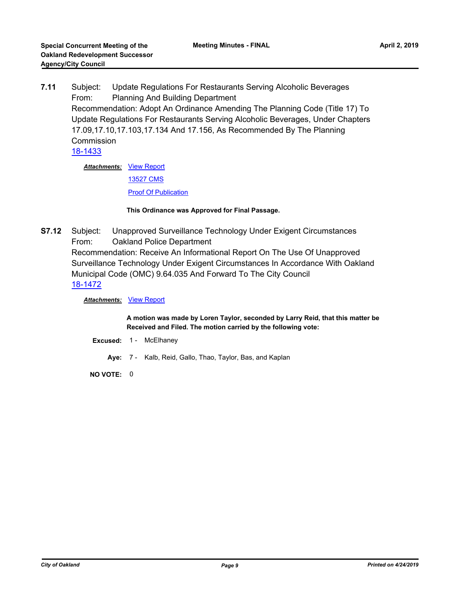**7.11** Subject: Update Regulations For Restaurants Serving Alcoholic Beverages From: Planning And Building Department Recommendation: Adopt An Ordinance Amending The Planning Code (Title 17) To Update Regulations For Restaurants Serving Alcoholic Beverages, Under Chapters 17.09,17.10,17.103,17.134 And 17.156, As Recommended By The Planning Commission [18-1433](http://oakland.legistar.com/gateway.aspx?m=l&id=/matter.aspx?key=29858)

**Attachments: [View Report](http://oakland.legistar.com/gateway.aspx?M=F&ID=bd8b3e70-405e-4295-acf7-378f844aed0e.pdf)** 

[13527 CMS](http://oakland.legistar.com/gateway.aspx?M=F&ID=bdc4ad83-692b-47bc-a5a0-f0ec2e019e29.pdf)

**[Proof Of Publication](http://oakland.legistar.com/gateway.aspx?M=F&ID=4bb2dbd1-2e3a-4260-81c8-9d30c1156868.pdf)** 

**This Ordinance was Approved for Final Passage.**

**S7.12** Subject: Unapproved Surveillance Technology Under Exigent Circumstances From: Oakland Police Department Recommendation: Receive An Informational Report On The Use Of Unapproved Surveillance Technology Under Exigent Circumstances In Accordance With Oakland Municipal Code (OMC) 9.64.035 And Forward To The City Council [18-1472](http://oakland.legistar.com/gateway.aspx?m=l&id=/matter.aspx?key=29896)

*Attachments:* [View Report](http://oakland.legistar.com/gateway.aspx?M=F&ID=2c934d08-31f9-48a9-bc57-793c378b99d8.pdf)

**A motion was made by Loren Taylor, seconded by Larry Reid, that this matter be Received and Filed. The motion carried by the following vote:**

- **Excused:** 1 McElhaney
	- **Aye:** 7 Kalb, Reid, Gallo, Thao, Taylor, Bas, and Kaplan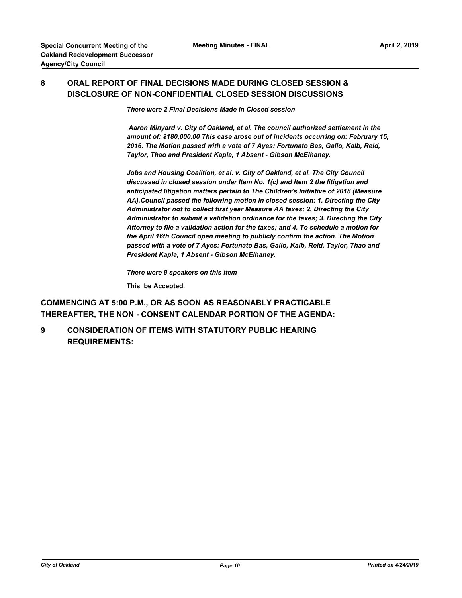# **8 ORAL REPORT OF FINAL DECISIONS MADE DURING CLOSED SESSION & DISCLOSURE OF NON-CONFIDENTIAL CLOSED SESSION DISCUSSIONS**

*There were 2 Final Decisions Made in Closed session*

 *Aaron Minyard v. City of Oakland, et al. The council authorized settlement in the amount of: \$180,000.00 This case arose out of incidents occurring on: February 15, 2016. The Motion passed with a vote of 7 Ayes: Fortunato Bas, Gallo, Kalb, Reid, Taylor, Thao and President Kapla, 1 Absent - Gibson McElhaney.*

Jobs and Housing Coalition, et al. v. City of Oakland, et al. The City Council *discussed in closed session under Item No. 1(c) and Item 2 the litigation and anticipated litigation matters pertain to The Children's Initiative of 2018 (Measure AA).Council passed the following motion in closed session: 1. Directing the City Administrator not to collect first year Measure AA taxes; 2. Directing the City Administrator to submit a validation ordinance for the taxes; 3. Directing the City Attorney to file a validation action for the taxes; and 4. To schedule a motion for the April 16th Council open meeting to publicly confirm the action. The Motion passed with a vote of 7 Ayes: Fortunato Bas, Gallo, Kalb, Reid, Taylor, Thao and President Kapla, 1 Absent - Gibson McElhaney.*

*There were 9 speakers on this item*

**This be Accepted.**

**COMMENCING AT 5:00 P.M., OR AS SOON AS REASONABLY PRACTICABLE THEREAFTER, THE NON - CONSENT CALENDAR PORTION OF THE AGENDA:**

**9 CONSIDERATION OF ITEMS WITH STATUTORY PUBLIC HEARING REQUIREMENTS:**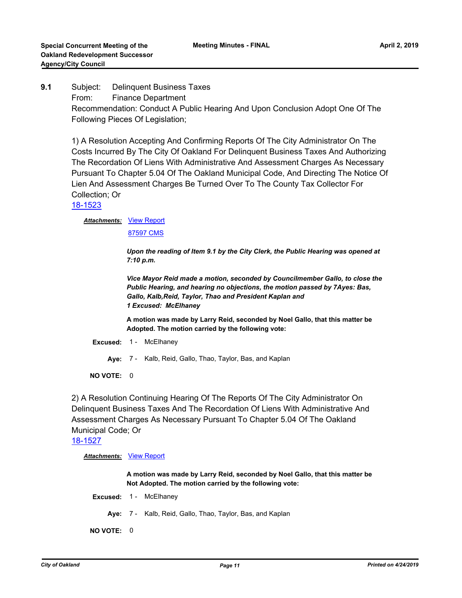**9.1** Subject: Delinquent Business Taxes From: Finance Department Recommendation: Conduct A Public Hearing And Upon Conclusion Adopt One Of The Following Pieces Of Legislation;

1) A Resolution Accepting And Confirming Reports Of The City Administrator On The Costs Incurred By The City Of Oakland For Delinquent Business Taxes And Authorizing The Recordation Of Liens With Administrative And Assessment Charges As Necessary Pursuant To Chapter 5.04 Of The Oakland Municipal Code, And Directing The Notice Of Lien And Assessment Charges Be Turned Over To The County Tax Collector For Collection; Or

## [18-1523](http://oakland.legistar.com/gateway.aspx?m=l&id=/matter.aspx?key=29947)

**Attachments: [View Report](http://oakland.legistar.com/gateway.aspx?M=F&ID=2e269094-823f-4c8a-b7cf-7044dd2baac1.pdf)** 

[87597 CMS](http://oakland.legistar.com/gateway.aspx?M=F&ID=f8197cb7-0619-415a-a00a-ad5d7712b8f6.pdf)

*Upon the reading of Item 9.1 by the City Clerk, the Public Hearing was opened at 7:10 p.m.* 

*Vice Mayor Reid made a motion, seconded by Councilmember Gallo, to close the Public Hearing, and hearing no objections, the motion passed by 7Ayes: Bas, Gallo, Kalb,Reid, Taylor, Thao and President Kaplan and 1 Excused: McElhaney*

**A motion was made by Larry Reid, seconded by Noel Gallo, that this matter be Adopted. The motion carried by the following vote:**

- **Excused:** 1 McElhaney
	- **Aye:** 7 Kalb, Reid, Gallo, Thao, Taylor, Bas, and Kaplan

**NO VOTE:** 0

2) A Resolution Continuing Hearing Of The Reports Of The City Administrator On Delinquent Business Taxes And The Recordation Of Liens With Administrative And Assessment Charges As Necessary Pursuant To Chapter 5.04 Of The Oakland Municipal Code; Or

[18-1527](http://oakland.legistar.com/gateway.aspx?m=l&id=/matter.aspx?key=29951)

*Attachments:* [View Report](http://oakland.legistar.com/gateway.aspx?M=F&ID=53638e9a-14e1-43cc-b769-dc4dd0121d33.pdf)

**A motion was made by Larry Reid, seconded by Noel Gallo, that this matter be Not Adopted. The motion carried by the following vote:**

**Excused:** 1 - McElhaney

**Aye:** 7 - Kalb, Reid, Gallo, Thao, Taylor, Bas, and Kaplan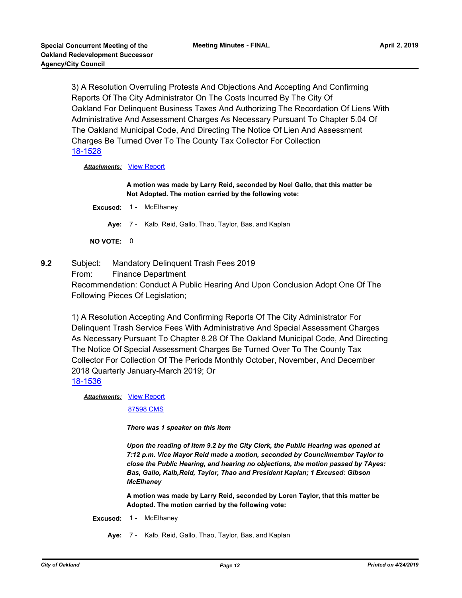3) A Resolution Overruling Protests And Objections And Accepting And Confirming Reports Of The City Administrator On The Costs Incurred By The City Of Oakland For Delinquent Business Taxes And Authorizing The Recordation Of Liens With Administrative And Assessment Charges As Necessary Pursuant To Chapter 5.04 Of The Oakland Municipal Code, And Directing The Notice Of Lien And Assessment Charges Be Turned Over To The County Tax Collector For Collection [18-1528](http://oakland.legistar.com/gateway.aspx?m=l&id=/matter.aspx?key=29952)

*Attachments:* [View Report](http://oakland.legistar.com/gateway.aspx?M=F&ID=c810fb55-690c-48a5-86ed-2fb156a3762a.pdf)

**A motion was made by Larry Reid, seconded by Noel Gallo, that this matter be Not Adopted. The motion carried by the following vote:**

**Excused:** 1 - McElhaney

**Aye:** 7 - Kalb, Reid, Gallo, Thao, Taylor, Bas, and Kaplan

**NO VOTE:** 0

**9.2** Subject: Mandatory Delinquent Trash Fees 2019

From: Finance Department

Recommendation: Conduct A Public Hearing And Upon Conclusion Adopt One Of The Following Pieces Of Legislation;

1) A Resolution Accepting And Confirming Reports Of The City Administrator For Delinquent Trash Service Fees With Administrative And Special Assessment Charges As Necessary Pursuant To Chapter 8.28 Of The Oakland Municipal Code, And Directing The Notice Of Special Assessment Charges Be Turned Over To The County Tax Collector For Collection Of The Periods Monthly October, November, And December 2018 Quarterly January-March 2019; Or [18-1536](http://oakland.legistar.com/gateway.aspx?m=l&id=/matter.aspx?key=29960)

**Attachments: [View Report](http://oakland.legistar.com/gateway.aspx?M=F&ID=0026657a-ef4e-4dfb-8cdb-195b5be8b25f.pdf)** 

[87598 CMS](http://oakland.legistar.com/gateway.aspx?M=F&ID=b27c9be1-ff57-4f99-8c4e-8b9fa9c9203c.pdf)

*There was 1 speaker on this item* 

*Upon the reading of Item 9.2 by the City Clerk, the Public Hearing was opened at 7:12 p.m. Vice Mayor Reid made a motion, seconded by Councilmember Taylor to close the Public Hearing, and hearing no objections, the motion passed by 7Ayes: Bas, Gallo, Kalb,Reid, Taylor, Thao and President Kaplan; 1 Excused: Gibson McElhaney*

**A motion was made by Larry Reid, seconded by Loren Taylor, that this matter be Adopted. The motion carried by the following vote:**

- **Excused:** 1 McElhaney
	- **Aye:** 7 Kalb, Reid, Gallo, Thao, Taylor, Bas, and Kaplan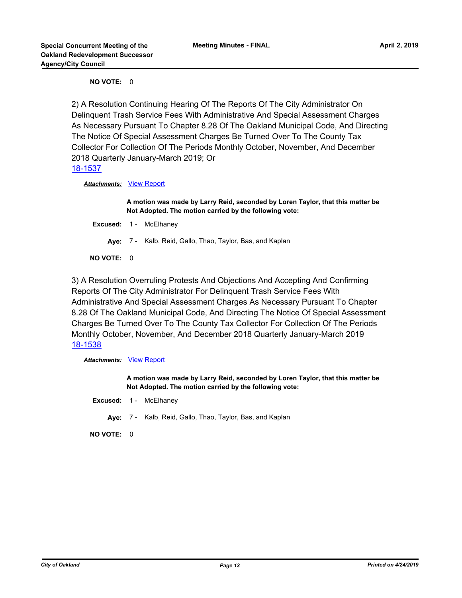**NO VOTE:** 0

2) A Resolution Continuing Hearing Of The Reports Of The City Administrator On Delinquent Trash Service Fees With Administrative And Special Assessment Charges As Necessary Pursuant To Chapter 8.28 Of The Oakland Municipal Code, And Directing The Notice Of Special Assessment Charges Be Turned Over To The County Tax Collector For Collection Of The Periods Monthly October, November, And December 2018 Quarterly January-March 2019; Or [18-1537](http://oakland.legistar.com/gateway.aspx?m=l&id=/matter.aspx?key=29961)

*Attachments:* [View Report](http://oakland.legistar.com/gateway.aspx?M=F&ID=39ecae5c-4e05-4340-b58f-deda5dca4698.pdf)

**A motion was made by Larry Reid, seconded by Loren Taylor, that this matter be Not Adopted. The motion carried by the following vote:**

- Excused: 1 McElhaney
	- **Aye:** 7 Kalb, Reid, Gallo, Thao, Taylor, Bas, and Kaplan

**NO VOTE:** 0

3) A Resolution Overruling Protests And Objections And Accepting And Confirming Reports Of The City Administrator For Delinquent Trash Service Fees With Administrative And Special Assessment Charges As Necessary Pursuant To Chapter 8.28 Of The Oakland Municipal Code, And Directing The Notice Of Special Assessment Charges Be Turned Over To The County Tax Collector For Collection Of The Periods Monthly October, November, And December 2018 Quarterly January-March 2019 [18-1538](http://oakland.legistar.com/gateway.aspx?m=l&id=/matter.aspx?key=29962)

#### *Attachments:* [View Report](http://oakland.legistar.com/gateway.aspx?M=F&ID=b54ac4d9-3124-4b50-a803-01b7eaa4543b.pdf)

**A motion was made by Larry Reid, seconded by Loren Taylor, that this matter be Not Adopted. The motion carried by the following vote:**

**Excused:** 1 - McElhaney

**Aye:** 7 - Kalb, Reid, Gallo, Thao, Taylor, Bas, and Kaplan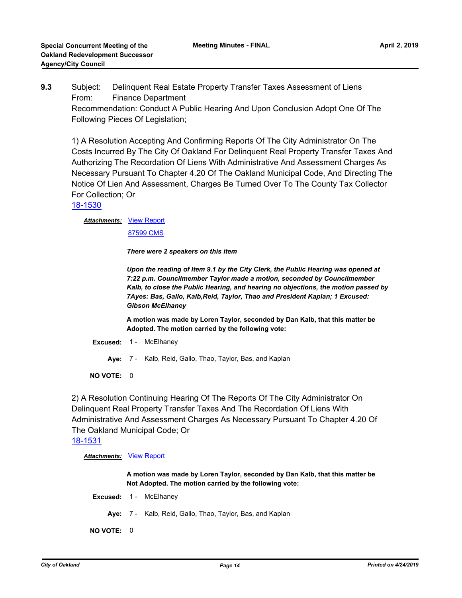**9.3** Subject: Delinquent Real Estate Property Transfer Taxes Assessment of Liens From: Finance Department Recommendation: Conduct A Public Hearing And Upon Conclusion Adopt One Of The Following Pieces Of Legislation;

1) A Resolution Accepting And Confirming Reports Of The City Administrator On The Costs Incurred By The City Of Oakland For Delinquent Real Property Transfer Taxes And Authorizing The Recordation Of Liens With Administrative And Assessment Charges As Necessary Pursuant To Chapter 4.20 Of The Oakland Municipal Code, And Directing The Notice Of Lien And Assessment, Charges Be Turned Over To The County Tax Collector For Collection; Or

## [18-1530](http://oakland.legistar.com/gateway.aspx?m=l&id=/matter.aspx?key=29954)

**Attachments: [View Report](http://oakland.legistar.com/gateway.aspx?M=F&ID=1d769aaf-f9f9-47cc-a240-ef127ee60ff7.pdf)** 

[87599 CMS](http://oakland.legistar.com/gateway.aspx?M=F&ID=73f3c835-2825-406d-8995-46316e2f6b96.pdf)

*There were 2 speakers on this item* 

*Upon the reading of Item 9.1 by the City Clerk, the Public Hearing was opened at 7:22 p.m. Councilmember Taylor made a motion, seconded by Councilmember Kalb, to close the Public Hearing, and hearing no objections, the motion passed by 7Ayes: Bas, Gallo, Kalb,Reid, Taylor, Thao and President Kaplan; 1 Excused: Gibson McElhaney*

**A motion was made by Loren Taylor, seconded by Dan Kalb, that this matter be Adopted. The motion carried by the following vote:**

- **Excused:** 1 McElhaney
	- **Aye:** 7 Kalb, Reid, Gallo, Thao, Taylor, Bas, and Kaplan

**NO VOTE:** 0

2) A Resolution Continuing Hearing Of The Reports Of The City Administrator On Delinquent Real Property Transfer Taxes And The Recordation Of Liens With Administrative And Assessment Charges As Necessary Pursuant To Chapter 4.20 Of The Oakland Municipal Code; Or

[18-1531](http://oakland.legistar.com/gateway.aspx?m=l&id=/matter.aspx?key=29955)

*Attachments:* [View Report](http://oakland.legistar.com/gateway.aspx?M=F&ID=890da3b1-e5c9-48d7-805d-7f537c2d84ba.pdf)

**A motion was made by Loren Taylor, seconded by Dan Kalb, that this matter be Not Adopted. The motion carried by the following vote:**

**Excused:** 1 - McElhaney

**Aye:** 7 - Kalb, Reid, Gallo, Thao, Taylor, Bas, and Kaplan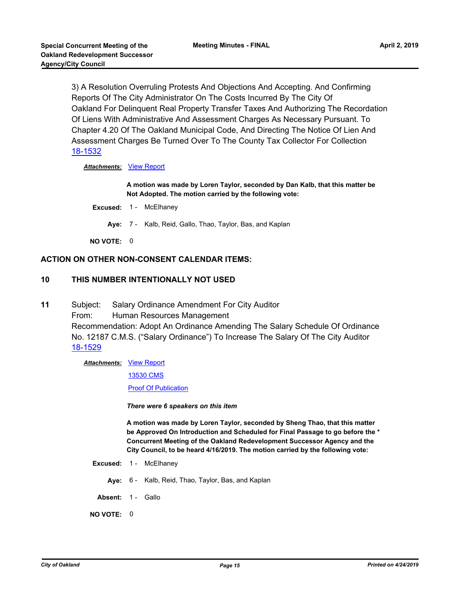3) A Resolution Overruling Protests And Objections And Accepting. And Confirming Reports Of The City Administrator On The Costs Incurred By The City Of Oakland For Delinquent Real Property Transfer Taxes And Authorizing The Recordation Of Liens With Administrative And Assessment Charges As Necessary Pursuant. To Chapter 4.20 Of The Oakland Municipal Code, And Directing The Notice Of Lien And Assessment Charges Be Turned Over To The County Tax Collector For Collection [18-1532](http://oakland.legistar.com/gateway.aspx?m=l&id=/matter.aspx?key=29956)

### *Attachments:* [View Report](http://oakland.legistar.com/gateway.aspx?M=F&ID=472fcde8-4294-4bb4-851f-a91a2e33d9ea.pdf)

**A motion was made by Loren Taylor, seconded by Dan Kalb, that this matter be Not Adopted. The motion carried by the following vote:**

**Excused:** 1 - McElhaney

**Aye:** 7 - Kalb, Reid, Gallo, Thao, Taylor, Bas, and Kaplan

**NO VOTE:** 0

## **ACTION ON OTHER NON-CONSENT CALENDAR ITEMS:**

## **10 THIS NUMBER INTENTIONALLY NOT USED**

**11** Subject: Salary Ordinance Amendment For City Auditor From: Human Resources Management Recommendation: Adopt An Ordinance Amending The Salary Schedule Of Ordinance No. 12187 C.M.S. ("Salary Ordinance") To Increase The Salary Of The City Auditor [18-1529](http://oakland.legistar.com/gateway.aspx?m=l&id=/matter.aspx?key=29953)

**Attachments: [View Report](http://oakland.legistar.com/gateway.aspx?M=F&ID=e1e6b464-6e2f-48e9-9433-429c515eeb93.pdf)** 

[13530 CMS](http://oakland.legistar.com/gateway.aspx?M=F&ID=3683280e-25d0-4826-b652-9a3272fe7fe6.pdf)

[Proof Of Publication](http://oakland.legistar.com/gateway.aspx?M=F&ID=7b6a4846-dfe9-4816-9576-424dfa7e52ff.pdf)

*There were 6 speakers on this item*

**A motion was made by Loren Taylor, seconded by Sheng Thao, that this matter be Approved On Introduction and Scheduled for Final Passage to go before the \* Concurrent Meeting of the Oakland Redevelopment Successor Agency and the City Council, to be heard 4/16/2019. The motion carried by the following vote:**

- **Excused:** 1 McElhaney
	- **Aye:** 6 Kalb, Reid, Thao, Taylor, Bas, and Kaplan
- Absent: 1 Gallo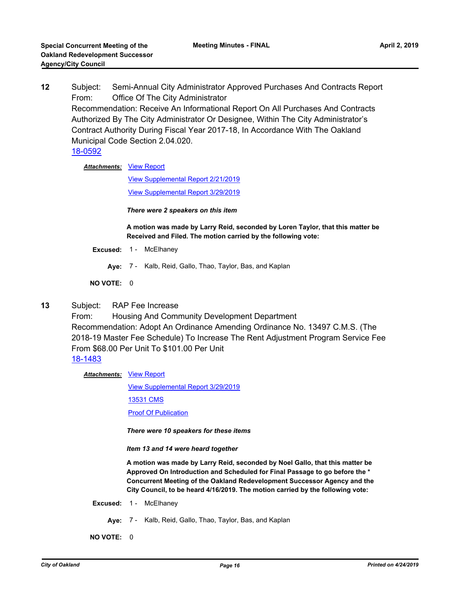**12** Subject: Semi-Annual City Administrator Approved Purchases And Contracts Report From: Office Of The City Administrator Recommendation: Receive An Informational Report On All Purchases And Contracts Authorized By The City Administrator Or Designee, Within The City Administrator's Contract Authority During Fiscal Year 2017-18, In Accordance With The Oakland Municipal Code Section 2.04.020. [18-0592](http://oakland.legistar.com/gateway.aspx?m=l&id=/matter.aspx?key=29026)

**Attachments: [View Report](http://oakland.legistar.com/gateway.aspx?M=F&ID=cfd17ce6-bdfc-4706-bb39-45d34bb1dba4.pdf)** 

[View Supplemental Report 2/21/2019](http://oakland.legistar.com/gateway.aspx?M=F&ID=186c6db4-5355-485f-85c4-8e4c5a009ae7.pdf)

[View Supplemental Report 3/29/2019](http://oakland.legistar.com/gateway.aspx?M=F&ID=54783093-b5a5-4bf1-ba23-70371a2f6961.pdf)

*There were 2 speakers on this item*

**A motion was made by Larry Reid, seconded by Loren Taylor, that this matter be Received and Filed. The motion carried by the following vote:**

**Excused:** 1 - McElhaney

**Aye:** 7 - Kalb, Reid, Gallo, Thao, Taylor, Bas, and Kaplan

**NO VOTE:** 0

**13** Subject: RAP Fee Increase

From: Housing And Community Development Department Recommendation: Adopt An Ordinance Amending Ordinance No. 13497 C.M.S. (The 2018-19 Master Fee Schedule) To Increase The Rent Adjustment Program Service Fee From \$68.00 Per Unit To \$101.00 Per Unit [18-1483](http://oakland.legistar.com/gateway.aspx?m=l&id=/matter.aspx?key=29907)

**Attachments: [View Report](http://oakland.legistar.com/gateway.aspx?M=F&ID=6fa3361c-000d-4ddb-b34a-839e31e95201.pdf)** 

[View Supplemental Report 3/29/2019](http://oakland.legistar.com/gateway.aspx?M=F&ID=d52aa6dc-a44a-4d0d-a0f0-b76de2532347.pdf) [13531 CMS](http://oakland.legistar.com/gateway.aspx?M=F&ID=423b3846-0125-403c-80a3-19c701fdbc69.pdf)

[Proof Of Publication](http://oakland.legistar.com/gateway.aspx?M=F&ID=4297160e-116c-4ab4-bea2-939eb1710d08.pdf)

*There were 10 speakers for these items* 

*Item 13 and 14 were heard together*

**A motion was made by Larry Reid, seconded by Noel Gallo, that this matter be Approved On Introduction and Scheduled for Final Passage to go before the \* Concurrent Meeting of the Oakland Redevelopment Successor Agency and the City Council, to be heard 4/16/2019. The motion carried by the following vote:**

- **Excused:** 1 McElhaney
	- **Aye:** 7 Kalb, Reid, Gallo, Thao, Taylor, Bas, and Kaplan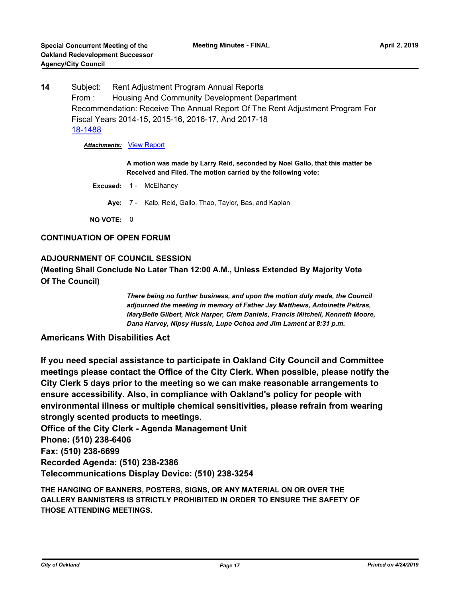**14** Subject: Rent Adjustment Program Annual Reports From : Housing And Community Development Department Recommendation: Receive The Annual Report Of The Rent Adjustment Program For Fiscal Years 2014-15, 2015-16, 2016-17, And 2017-18 [18-1488](http://oakland.legistar.com/gateway.aspx?m=l&id=/matter.aspx?key=29912)

*Attachments:* [View Report](http://oakland.legistar.com/gateway.aspx?M=F&ID=b77ab7cb-6dad-4190-b1b7-d0abd57530b5.pdf)

**A motion was made by Larry Reid, seconded by Noel Gallo, that this matter be Received and Filed. The motion carried by the following vote:**

**Excused:** 1 - McElhaney **Aye:** 7 - Kalb, Reid, Gallo, Thao, Taylor, Bas, and Kaplan **NO VOTE:** 0

## **CONTINUATION OF OPEN FORUM**

## **ADJOURNMENT OF COUNCIL SESSION**

**(Meeting Shall Conclude No Later Than 12:00 A.M., Unless Extended By Majority Vote Of The Council)**

> *There being no further business, and upon the motion duly made, the Council adjourned the meeting in memory of Father Jay Matthews, Antoinette Peitras, MaryBelle Gilbert, Nick Harper, Clem Daniels, Francis Mitchell, Kenneth Moore, Dana Harvey, Nipsy Hussle, Lupe Ochoa and Jim Lament at 8:31 p.m.*

**Americans With Disabilities Act**

**If you need special assistance to participate in Oakland City Council and Committee meetings please contact the Office of the City Clerk. When possible, please notify the City Clerk 5 days prior to the meeting so we can make reasonable arrangements to ensure accessibility. Also, in compliance with Oakland's policy for people with environmental illness or multiple chemical sensitivities, please refrain from wearing strongly scented products to meetings.**

**Office of the City Clerk - Agenda Management Unit Phone: (510) 238-6406 Fax: (510) 238-6699 Recorded Agenda: (510) 238-2386 Telecommunications Display Device: (510) 238-3254**

**THE HANGING OF BANNERS, POSTERS, SIGNS, OR ANY MATERIAL ON OR OVER THE GALLERY BANNISTERS IS STRICTLY PROHIBITED IN ORDER TO ENSURE THE SAFETY OF THOSE ATTENDING MEETINGS.**